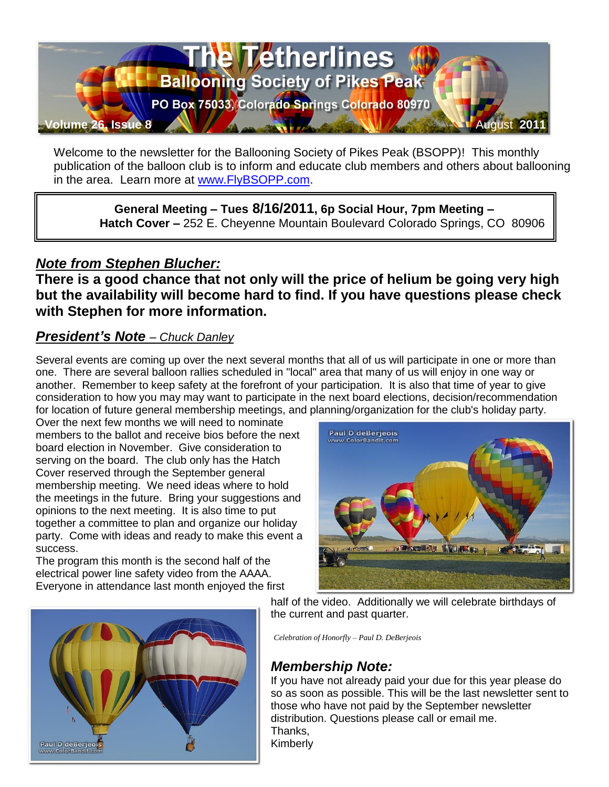

Welcome to the newsletter for the Ballooning Society of Pikes Peak (BSOPP)! This monthly publication of the balloon club is to inform and educate club members and others about ballooning in the area. Learn more at [www.FlyBSOPP.com.](http://www.flybsopp.com/)

**General Meeting – Tues 8/16/2011, 6p Social Hour, 7pm Meeting – Hatch Cover –** 252 E. Cheyenne Mountain Boulevard Colorado Springs, CO 80906

# *Note from Stephen Blucher:*

**There is a good chance that not only will the price of helium be going very high but the availability will become hard to find. If you have questions please check with Stephen for more information.**

## *President's Note – Chuck Danley*

Several events are coming up over the next several months that all of us will participate in one or more than one. There are several balloon rallies scheduled in "local" area that many of us will enjoy in one way or another. Remember to keep safety at the forefront of your participation. It is also that time of year to give consideration to how you may may want to participate in the next board elections, decision/recommendation for location of future general membership meetings, and planning/organization for the club's holiday party.

Over the next few months we will need to nominate members to the ballot and receive bios before the next board election in November. Give consideration to serving on the board. The club only has the Hatch Cover reserved through the September general membership meeting. We need ideas where to hold the meetings in the future. Bring your suggestions and opinions to the next meeting. It is also time to put together a committee to plan and organize our holiday party. Come with ideas and ready to make this event a success.

The program this month is the second half of the electrical power line safety video from the AAAA. Everyone in attendance last month enjoyed the first



half of the video. Additionally we will celebrate birthdays of the current and past quarter.

*Celebration of Honorfly – Paul D. DeBerjeois*

# *Membership Note:*

If you have not already paid your due for this year please do so as soon as possible. This will be the last newsletter sent to those who have not paid by the September newsletter distribution. Questions please call or email me. Thanks, Kimberly

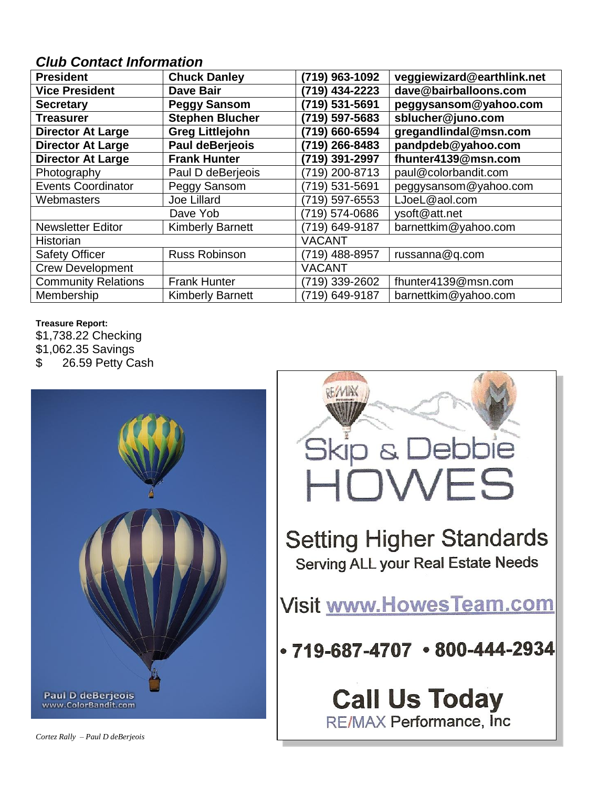# *Club Contact Information*

| <b>President</b>           | <b>Chuck Danley</b>     | (719) 963-1092 | veggiewizard@earthlink.net |  |  |  |
|----------------------------|-------------------------|----------------|----------------------------|--|--|--|
| <b>Vice President</b>      | <b>Dave Bair</b>        |                | dave@bairballoons.com      |  |  |  |
| <b>Secretary</b>           | <b>Peggy Sansom</b>     | (719) 531-5691 | peggysansom@yahoo.com      |  |  |  |
| <b>Treasurer</b>           | <b>Stephen Blucher</b>  | (719) 597-5683 | sblucher@juno.com          |  |  |  |
| <b>Director At Large</b>   | <b>Greg Littlejohn</b>  | (719) 660-6594 | gregandlindal@msn.com      |  |  |  |
| <b>Director At Large</b>   | <b>Paul deBerjeois</b>  | (719) 266-8483 | pandpdeb@yahoo.com         |  |  |  |
| <b>Director At Large</b>   | <b>Frank Hunter</b>     | (719) 391-2997 | fhunter4139@msn.com        |  |  |  |
| Photography                | Paul D deBerjeois       | (719) 200-8713 | paul@colorbandit.com       |  |  |  |
| <b>Events Coordinator</b>  | Peggy Sansom            | (719) 531-5691 | peggysansom@yahoo.com      |  |  |  |
| Webmasters                 | Joe Lillard             | (719) 597-6553 | LJoeL@aol.com              |  |  |  |
|                            | Dave Yob                | (719) 574-0686 | ysoft@att.net              |  |  |  |
| <b>Newsletter Editor</b>   | <b>Kimberly Barnett</b> | (719) 649-9187 | barnettkim@yahoo.com       |  |  |  |
| <b>Historian</b>           |                         | <b>VACANT</b>  |                            |  |  |  |
| <b>Safety Officer</b>      | <b>Russ Robinson</b>    | (719) 488-8957 | russanna@q.com             |  |  |  |
| <b>Crew Development</b>    |                         | <b>VACANT</b>  |                            |  |  |  |
| <b>Community Relations</b> | <b>Frank Hunter</b>     | (719) 339-2602 | fhunter4139@msn.com        |  |  |  |
| Membership                 | <b>Kimberly Barnett</b> | (719) 649-9187 | barnettkim@yahoo.com       |  |  |  |

#### **Treasure Report:**

\$1,738.22 Checking \$1,062.35 Savings

\$ 26.59 Petty Cash





# **Call Us Today** RE/MAX Performance, Inc

*Cortez Rally – Paul D deBerjeois*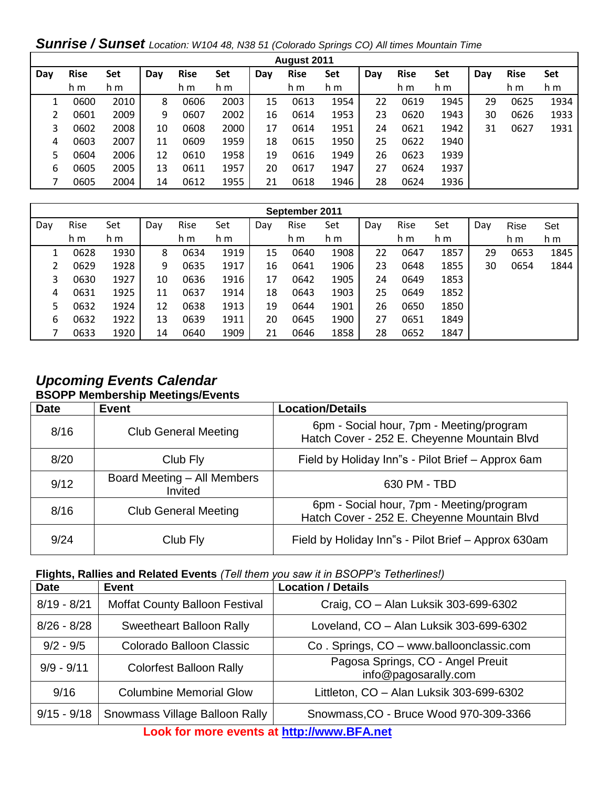*Sunrise / Sunset Location: W104 48, N38 51 (Colorado Springs CO) All times Mountain Time*

| August 2011 |             |      |     |             |      |     |             |      |     |             |      |     |             |      |
|-------------|-------------|------|-----|-------------|------|-----|-------------|------|-----|-------------|------|-----|-------------|------|
| Day         | <b>Rise</b> | Set  | Day | <b>Rise</b> | Set  | Day | <b>Rise</b> | Set  | Day | <b>Rise</b> | Set  | Day | <b>Rise</b> | Set  |
|             | h m         | h m  |     | h m         | h m  |     | h m         | h m  |     | h m         | h m  |     | h m         | h m  |
|             | 0600        | 2010 | 8   | 0606        | 2003 | 15  | 0613        | 1954 | 22  | 0619        | 1945 | 29  | 0625        | 1934 |
| 2           | 0601        | 2009 | 9   | 0607        | 2002 | 16  | 0614        | 1953 | 23  | 0620        | 1943 | 30  | 0626        | 1933 |
| 3           | 0602        | 2008 | 10  | 0608        | 2000 | 17  | 0614        | 1951 | 24  | 0621        | 1942 | 31  | 0627        | 1931 |
| 4           | 0603        | 2007 | 11  | 0609        | 1959 | 18  | 0615        | 1950 | 25  | 0622        | 1940 |     |             |      |
| 5           | 0604        | 2006 | 12  | 0610        | 1958 | 19  | 0616        | 1949 | 26  | 0623        | 1939 |     |             |      |
| 6           | 0605        | 2005 | 13  | 0611        | 1957 | 20  | 0617        | 1947 | 27  | 0624        | 1937 |     |             |      |
|             | 0605        | 2004 | 14  | 0612        | 1955 | 21  | 0618        | 1946 | 28  | 0624        | 1936 |     |             |      |

| September 2011 |      |      |     |      |      |     |      |      |     |      |      |     |             |      |
|----------------|------|------|-----|------|------|-----|------|------|-----|------|------|-----|-------------|------|
| Day            | Rise | Set  | Day | Rise | Set  | Day | Rise | Set  | Day | Rise | Set  | Day | <b>Rise</b> | Set  |
|                | h m  | h m  |     | h m  | h m  |     | h m  | h m  |     | h m  | h m  |     | h m         | h m  |
|                | 0628 | 1930 | 8   | 0634 | 1919 | 15  | 0640 | 1908 | 22  | 0647 | 1857 | 29  | 0653        | 1845 |
|                | 0629 | 1928 | 9   | 0635 | 1917 | 16  | 0641 | 1906 | 23  | 0648 | 1855 | 30  | 0654        | 1844 |
| 3              | 0630 | 1927 | 10  | 0636 | 1916 | 17  | 0642 | 1905 | 24  | 0649 | 1853 |     |             |      |
| 4              | 0631 | 1925 | 11  | 0637 | 1914 | 18  | 0643 | 1903 | 25  | 0649 | 1852 |     |             |      |
| 5              | 0632 | 1924 | 12  | 0638 | 1913 | 19  | 0644 | 1901 | 26  | 0650 | 1850 |     |             |      |
| 6              | 0632 | 1922 | 13  | 0639 | 1911 | 20  | 0645 | 1900 | 27  | 0651 | 1849 |     |             |      |
|                | 0633 | 1920 | 14  | 0640 | 1909 | 21  | 0646 | 1858 | 28  | 0652 | 1847 |     |             |      |

### *Upcoming Events Calendar*  **BSOPP Membership Meetings/Events**

| <b>Date</b> | <b>Event</b>                           | <b>Location/Details</b>                                                                 |
|-------------|----------------------------------------|-----------------------------------------------------------------------------------------|
| 8/16        | <b>Club General Meeting</b>            | 6pm - Social hour, 7pm - Meeting/program<br>Hatch Cover - 252 E. Cheyenne Mountain Blvd |
| 8/20        | Club Fly                               | Field by Holiday Inn"s - Pilot Brief - Approx 6am                                       |
| 9/12        | Board Meeting - All Members<br>Invited | 630 PM - TBD                                                                            |
| 8/16        | <b>Club General Meeting</b>            | 6pm - Social hour, 7pm - Meeting/program<br>Hatch Cover - 252 E. Cheyenne Mountain Blvd |
| 9/24        | Club Fly                               | Field by Holiday Inn"s - Pilot Brief - Approx 630am                                     |

#### **Flights, Rallies and Related Events** *(Tell them you saw it in BSOPP's Tetherlines!)*

| <b>Date</b>   | <b>Event</b>                    | <b>Location / Details</b>                                 |  |  |
|---------------|---------------------------------|-----------------------------------------------------------|--|--|
| $8/19 - 8/21$ | Moffat County Balloon Festival  | Craig, CO - Alan Luksik 303-699-6302                      |  |  |
| $8/26 - 8/28$ | <b>Sweetheart Balloon Rally</b> | Loveland, CO - Alan Luksik 303-699-6302                   |  |  |
| $9/2 - 9/5$   | Colorado Balloon Classic        | Co. Springs, CO - www.balloonclassic.com                  |  |  |
| $9/9 - 9/11$  | <b>Colorfest Balloon Rally</b>  | Pagosa Springs, CO - Angel Preuit<br>info@pagosarally.com |  |  |
| 9/16          | <b>Columbine Memorial Glow</b>  | Littleton, CO - Alan Luksik 303-699-6302                  |  |  |
| $9/15 - 9/18$ | Snowmass Village Balloon Rally  | Snowmass, CO - Bruce Wood 970-309-3366                    |  |  |
|               |                                 |                                                           |  |  |

**Look for more events at [http://www.BFA.net](http://www.bfa.net/)**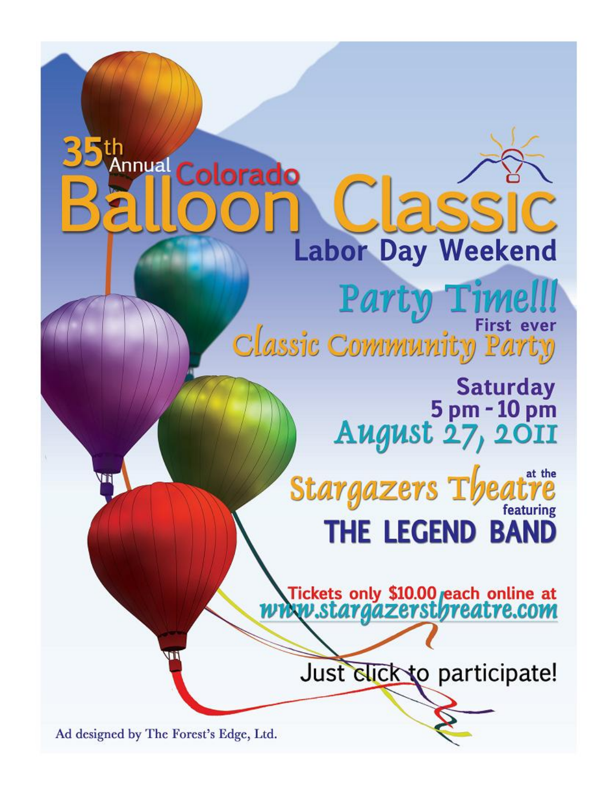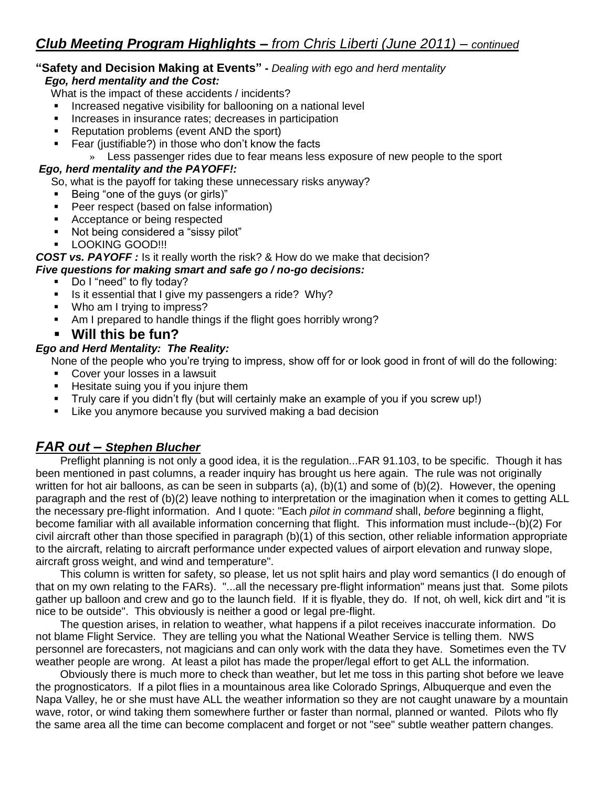#### **"Safety and Decision Making at Events" -** *Dealing with ego and herd mentality Ego, herd mentality and the Cost:*

What is the impact of these accidents / incidents?

- **Increased negative visibility for ballooning on a national level**
- **Increases in insurance rates; decreases in participation**
- Reputation problems (event AND the sport)
- Fear (justifiable?) in those who don't know the facts
	- » Less passenger rides due to fear means less exposure of new people to the sport

#### *Ego, herd mentality and the PAYOFF!:*

So, what is the payoff for taking these unnecessary risks anyway?

- Being "one of the guys (or girls)"
- **Peer respect (based on false information)**
- **Acceptance or being respected**
- Not being considered a "sissy pilot"
- LOOKING GOOD!!!
- *COST vs. PAYOFF :* Is it really worth the risk? & How do we make that decision?

#### *Five questions for making smart and safe go / no-go decisions:*

- Do I "need" to fly today?
- Is it essential that I give my passengers a ride? Why?
- Who am I trying to impress?
- Am I prepared to handle things if the flight goes horribly wrong?
- **Will this be fun?**

#### *Ego and Herd Mentality: The Reality:*

None of the people who you're trying to impress, show off for or look good in front of will do the following:

- Cover your losses in a lawsuit
- **Hesitate suing you if you injure them**
- Truly care if you didn't fly (but will certainly make an example of you if you screw up!)
- **EXECT** Like you anymore because you survived making a bad decision

## *FAR out – Stephen Blucher*

 Preflight planning is not only a good idea, it is the regulation...FAR 91.103, to be specific. Though it has been mentioned in past columns, a reader inquiry has brought us here again. The rule was not originally written for hot air balloons, as can be seen in subparts (a), (b)(1) and some of (b)(2). However, the opening paragraph and the rest of (b)(2) leave nothing to interpretation or the imagination when it comes to getting ALL the necessary pre-flight information. And I quote: "Each *pilot in command* shall, *before* beginning a flight, become familiar with all available information concerning that flight. This information must include--(b)(2) For civil aircraft other than those specified in paragraph (b)(1) of this section, other reliable information appropriate to the aircraft, relating to aircraft performance under expected values of airport elevation and runway slope, aircraft gross weight, and wind and temperature".

 This column is written for safety, so please, let us not split hairs and play word semantics (I do enough of that on my own relating to the FARs). "...all the necessary pre-flight information" means just that. Some pilots gather up balloon and crew and go to the launch field. If it is flyable, they do. If not, oh well, kick dirt and "it is nice to be outside". This obviously is neither a good or legal pre-flight.

 The question arises, in relation to weather, what happens if a pilot receives inaccurate information. Do not blame Flight Service. They are telling you what the National Weather Service is telling them. NWS personnel are forecasters, not magicians and can only work with the data they have. Sometimes even the TV weather people are wrong. At least a pilot has made the proper/legal effort to get ALL the information.

 Obviously there is much more to check than weather, but let me toss in this parting shot before we leave the prognosticators. If a pilot flies in a mountainous area like Colorado Springs, Albuquerque and even the Napa Valley, he or she must have ALL the weather information so they are not caught unaware by a mountain wave, rotor, or wind taking them somewhere further or faster than normal, planned or wanted. Pilots who fly the same area all the time can become complacent and forget or not "see" subtle weather pattern changes.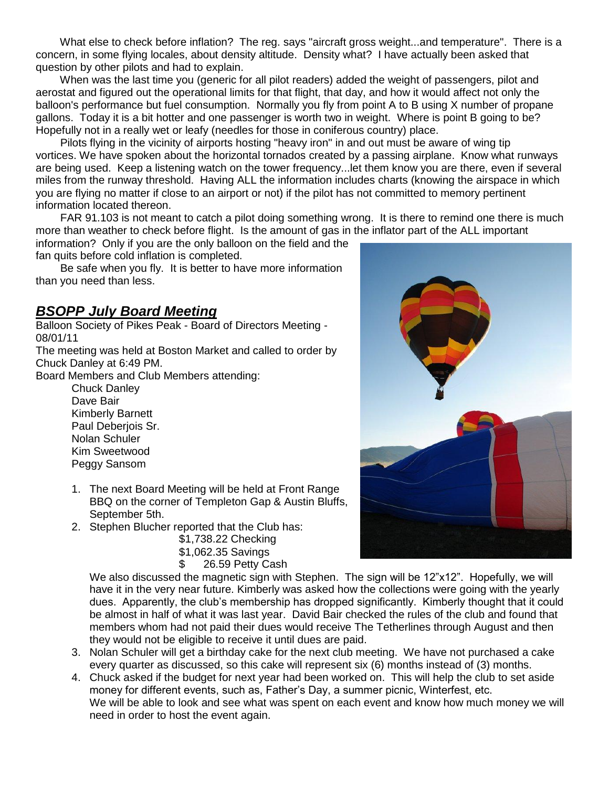What else to check before inflation? The reg. says "aircraft gross weight...and temperature". There is a concern, in some flying locales, about density altitude. Density what? I have actually been asked that question by other pilots and had to explain.

 When was the last time you (generic for all pilot readers) added the weight of passengers, pilot and aerostat and figured out the operational limits for that flight, that day, and how it would affect not only the balloon's performance but fuel consumption. Normally you fly from point A to B using X number of propane gallons. Today it is a bit hotter and one passenger is worth two in weight. Where is point B going to be? Hopefully not in a really wet or leafy (needles for those in coniferous country) place.

 Pilots flying in the vicinity of airports hosting "heavy iron" in and out must be aware of wing tip vortices. We have spoken about the horizontal tornados created by a passing airplane. Know what runways are being used. Keep a listening watch on the tower frequency...let them know you are there, even if several miles from the runway threshold. Having ALL the information includes charts (knowing the airspace in which you are flying no matter if close to an airport or not) if the pilot has not committed to memory pertinent information located thereon.

 FAR 91.103 is not meant to catch a pilot doing something wrong. It is there to remind one there is much more than weather to check before flight. Is the amount of gas in the inflator part of the ALL important

information? Only if you are the only balloon on the field and the fan quits before cold inflation is completed.

 Be safe when you fly. It is better to have more information than you need than less.

## *BSOPP July Board Meeting*

Balloon Society of Pikes Peak - Board of Directors Meeting - 08/01/11

The meeting was held at Boston Market and called to order by Chuck Danley at 6:49 PM.

Board Members and Club Members attending:

Chuck Danley Dave Bair Kimberly Barnett Paul Deberjois Sr. Nolan Schuler Kim Sweetwood Peggy Sansom

- 1. The next Board Meeting will be held at Front Range BBQ on the corner of Templeton Gap & Austin Bluffs, September 5th.
- 2. Stephen Blucher reported that the Club has:

\$1,738.22 Checking \$1,062.35 Savings \$ 26.59 Petty Cash



We also discussed the magnetic sign with Stephen. The sign will be 12"x12". Hopefully, we will have it in the very near future. Kimberly was asked how the collections were going with the yearly dues. Apparently, the club's membership has dropped significantly. Kimberly thought that it could be almost in half of what it was last year. David Bair checked the rules of the club and found that members whom had not paid their dues would receive The Tetherlines through August and then they would not be eligible to receive it until dues are paid.

- 3. Nolan Schuler will get a birthday cake for the next club meeting. We have not purchased a cake every quarter as discussed, so this cake will represent six (6) months instead of (3) months.
- 4. Chuck asked if the budget for next year had been worked on. This will help the club to set aside money for different events, such as, Father's Day, a summer picnic, Winterfest, etc. We will be able to look and see what was spent on each event and know how much money we will need in order to host the event again.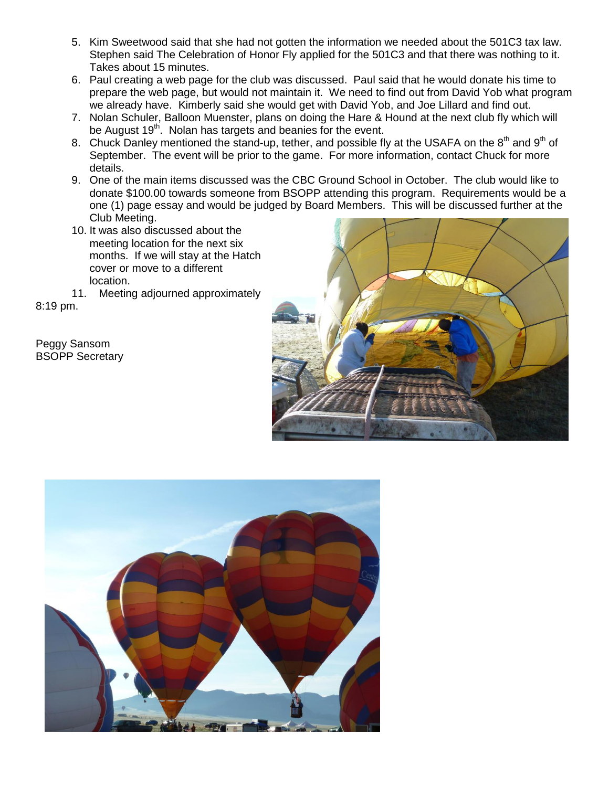- 5. Kim Sweetwood said that she had not gotten the information we needed about the 501C3 tax law. Stephen said The Celebration of Honor Fly applied for the 501C3 and that there was nothing to it. Takes about 15 minutes.
- 6. Paul creating a web page for the club was discussed. Paul said that he would donate his time to prepare the web page, but would not maintain it. We need to find out from David Yob what program we already have. Kimberly said she would get with David Yob, and Joe Lillard and find out.
- 7. Nolan Schuler, Balloon Muenster, plans on doing the Hare & Hound at the next club fly which will be August 19<sup>th</sup>. Nolan has targets and beanies for the event.
- 8. Chuck Danley mentioned the stand-up, tether, and possible fly at the USAFA on the  $8<sup>th</sup>$  and  $9<sup>th</sup>$  of September. The event will be prior to the game. For more information, contact Chuck for more details.
- 9. One of the main items discussed was the CBC Ground School in October. The club would like to donate \$100.00 towards someone from BSOPP attending this program. Requirements would be a one (1) page essay and would be judged by Board Members. This will be discussed further at the Club Meeting.
- 10. It was also discussed about the meeting location for the next six months. If we will stay at the Hatch cover or move to a different location.
- 11. Meeting adjourned approximately

8:19 pm.

Peggy Sansom BSOPP Secretary